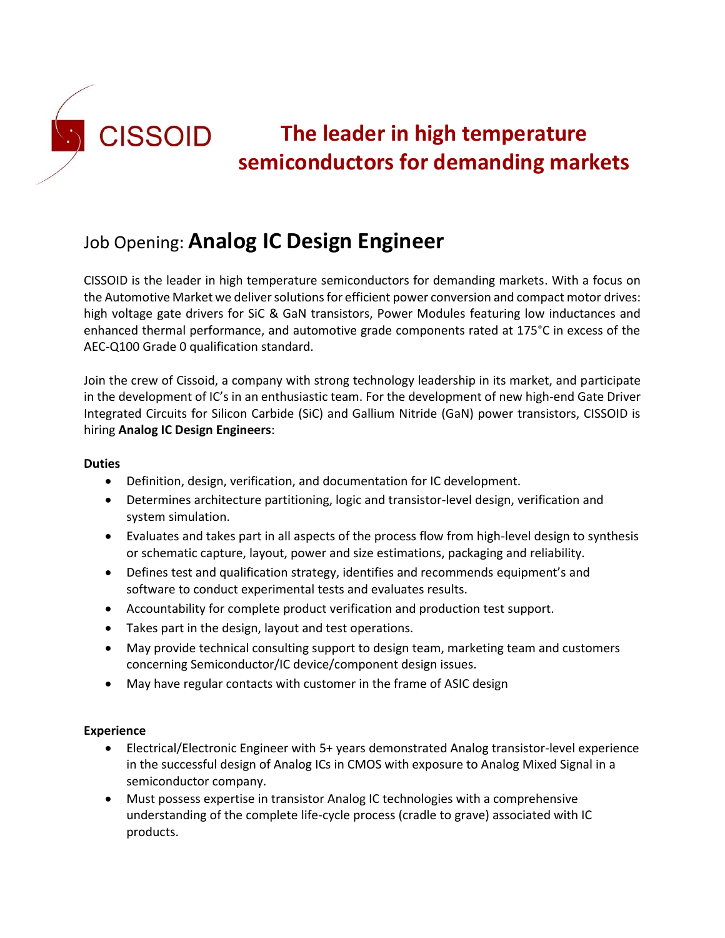

# Job Opening: **Analog IC Design Engineer**

CISSOID is the leader in high temperature semiconductors for demanding markets. With a focus on the Automotive Market we deliver solutions for efficient power conversion and compact motor drives: high voltage gate drivers for SiC & GaN transistors, Power Modules featuring low inductances and enhanced thermal performance, and automotive grade components rated at 175°C in excess of the AEC-Q100 Grade 0 qualification standard.

Join the crew of Cissoid, a company with strong technology leadership in its market, and participate in the development of IC's in an enthusiastic team. For the development of new high-end Gate Driver Integrated Circuits for Silicon Carbide (SiC) and Gallium Nitride (GaN) power transistors, CISSOID is hiring **Analog IC Design Engineers**:

### **Duties**

- Definition, design, verification, and documentation for IC development.
- Determines architecture partitioning, logic and transistor-level design, verification and system simulation.
- Evaluates and takes part in all aspects of the process flow from high-level design to synthesis or schematic capture, layout, power and size estimations, packaging and reliability.
- Defines test and qualification strategy, identifies and recommends equipment's and software to conduct experimental tests and evaluates results.
- Accountability for complete product verification and production test support.
- Takes part in the design, layout and test operations.
- May provide technical consulting support to design team, marketing team and customers concerning Semiconductor/IC device/component design issues.
- May have regular contacts with customer in the frame of ASIC design

## **Experience**

- Electrical/Electronic Engineer with 5+ years demonstrated Analog transistor-level experience in the successful design of Analog ICs in CMOS with exposure to Analog Mixed Signal in a semiconductor company.
- Must possess expertise in transistor Analog IC technologies with a comprehensive understanding of the complete life-cycle process (cradle to grave) associated with IC products.